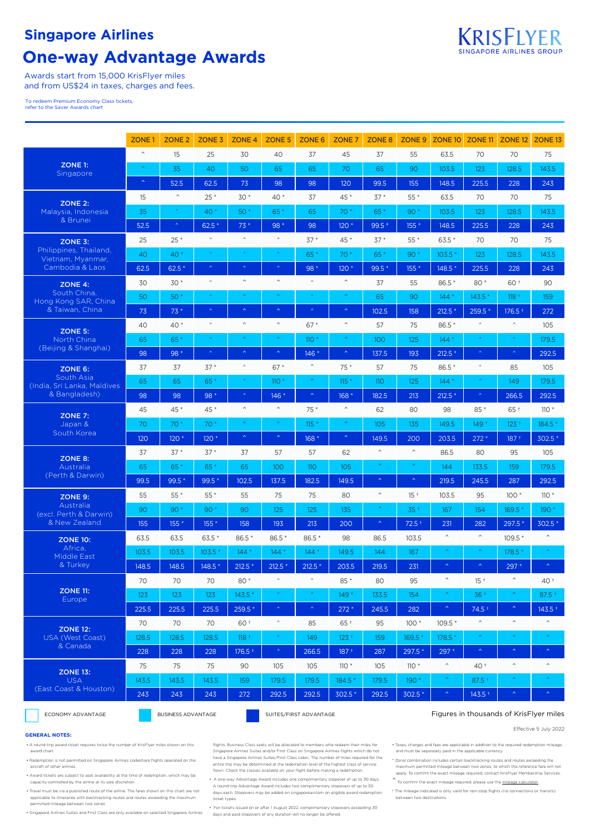## **Singapore Airlines**

# **One-way Advantage Awards**



Awards start from 15,000 KrisFlyer miles and from US\$24 in taxes, charges and fees.

To redeem Premium Economy Class tickets, refer to the Saver Awards chart

|                                             | <b>ZONE1</b>          | ZONE <sub>2</sub>     | ZONE <sub>3</sub>       | <b>ZONE 4</b>           | ZONE <sub>5</sub>       | ZONE 6                  | ZONE <sub>7</sub>       | ZONE <sub>8</sub>       | <b>ZONE 9</b>           | <b>ZONE 10</b>          | ZONE <sub>11</sub>      | ZONE <sub>12</sub>      | ZONE <sub>13</sub>      |
|---------------------------------------------|-----------------------|-----------------------|-------------------------|-------------------------|-------------------------|-------------------------|-------------------------|-------------------------|-------------------------|-------------------------|-------------------------|-------------------------|-------------------------|
|                                             | $\land$               | 15                    | 25                      | 30                      | 40                      | 37                      | 45                      | 37                      | 55                      | 63.5                    | 70                      | 70                      | 75                      |
| ZONE 1:<br>Singapore                        | $\boldsymbol{\wedge}$ | 35                    | 40                      | 50                      | 65                      | 65                      | 70                      | 65                      | 90                      | 103.5                   | 123                     | 128.5                   | 143.5                   |
|                                             | $\hat{\mathcal{N}}$   | 52.5                  | 62.5                    | 73                      | 98                      | 98                      | 120                     | 99.5                    | 155                     | 148.5                   | 225.5                   | 228                     | 243                     |
| ZONE 2:                                     | 15                    | $\boldsymbol{\wedge}$ | $25*$                   | $30*$                   | 40 *                    | 37                      | 45 *                    | $37*$                   | $55*$                   | 63.5                    | 70                      | 70                      | 75                      |
| Malaysia, Indonesia                         | 35                    | $\hat{\mathbf{v}}$    | 40 *                    | 50 *                    | 65*                     | 65                      | 70 *                    | 65*                     | 90 *                    | 103.5                   | 123                     | 128.5                   | 143.5                   |
| & Brunei                                    | 52.5                  | $\boldsymbol{\wedge}$ | $62.5*$                 | $73*$                   | 98 *                    | 98                      | 120 *                   | 99.5*                   | 155 *                   | 148.5                   | 225.5                   | 228                     | 243                     |
| ZONE 3:                                     | 25                    | $25*$                 | $\land$                 | $\widehat{\phantom{a}}$ | $\wedge$                | $37*$                   | 45 *                    | $37*$                   | 55 *                    | 63.5*                   | 70                      | 70                      | 75                      |
| Philippines, Thailand,<br>Vietnam, Myanmar, | 40                    | $40*$                 | $\hat{\mathbf{A}}$      | $\lambda$               |                         | 65*                     | 70 *                    | 65*                     | 90 *                    | $103.5*$                | 123                     | 128.5                   | 143.5                   |
| Cambodia & Laos                             | 62.5                  | $62.5*$               | $\hat{\mathbf{A}}$      | $\bar{\mathbf{A}}$      | $\bar{\mathbf{A}}$      | 98 *                    | 120 *                   | 99.5 *                  | $155*$                  | 148.5 *                 | 225.5                   | 228                     | 243                     |
| ZONE 4:                                     | 30                    | $30*$                 | $\widehat{\phantom{a}}$ | $\widehat{\phantom{a}}$ | $\boldsymbol{\wedge}$   | $\land$                 | $\widehat{\phantom{a}}$ | 37                      | 55                      | 86.5 *                  | 80 *                    | 60 +                    | 90                      |
| South China,<br>Hong Kong SAR, China        | 50                    | $50*$                 |                         | $\widehat{\phantom{a}}$ | $\bar{\mathbf{A}}$      |                         | $\boldsymbol{\wedge}$   | 65                      | 90                      | $144*$                  | 143.5 *                 | $118 +$                 | 159                     |
| & Taiwan, China                             | 73                    | $73*$                 | $\hat{\mathbf{A}}$      | $\hat{\mathcal{N}}$     | $\hat{\mathbb{A}}$      | $\bar{\mathbf{A}}$      | $\boldsymbol{\wedge}$   | 102.5                   | 158                     | $212.5*$                | 259.5 *                 | $176.5 +$               | 272                     |
| ZONE 5:                                     | 40                    | 40 *                  | $\widehat{\phantom{a}}$ | $\widehat{\phantom{a}}$ | $\land$                 | $67*$                   | $\widehat{\phantom{a}}$ | 57                      | 75                      | 86.5*                   | $\widehat{\phantom{a}}$ | $\widehat{\phantom{a}}$ | 105                     |
| North China                                 | 65                    | 65*                   | $\boldsymbol{\wedge}$   | $\boldsymbol{\wedge}$   | $\bar{\mathbf{v}}$      | $110*$                  | $\boldsymbol{\uparrow}$ | 100                     | 125                     | $144*$                  | $\bar{\mathbf{A}}$      | $\boldsymbol{\wedge}$   | 179.5                   |
| (Beijing & Shanghai)                        | 98                    | 98 *                  | $\hat{\mathbf{A}}$      | $\bar{\mathbb{A}}$      | $\boldsymbol{\upalpha}$ | $146*$                  | $\boldsymbol{\wedge}$   | 137.5                   | 193                     | $212.5*$                | $\hat{\mathbf{A}}$      | $\hat{\mathbf{v}}$      | 292.5                   |
| ZONE 6:                                     | 37                    | 37                    | $37*$                   | $\widehat{\phantom{a}}$ | $67*$                   | $\widehat{\phantom{a}}$ | 75 *                    | 57                      | 75                      | 86.5*                   | $\widehat{\phantom{a}}$ | 85                      | 105                     |
| South Asia<br>(India, Sri Lanka, Maldives   | 65                    | 65                    | 65*                     | $\boldsymbol{\gamma}$   | $110*$                  | $\boldsymbol{\wedge}$   | $115*$                  | 110                     | 125                     | $144*$                  | $\hat{\mathbf{A}}$      | 149                     | 179.5                   |
| & Bangladesh)                               | 98                    | 98                    | 98 *                    | $\bar{\mathbf{v}}$      | $146*$                  | $\boldsymbol{\uparrow}$ | 168 *                   | 182.5                   | 213                     | $212.5*$                | $\bar{\mathbf{v}}$      | 266.5                   | 292.5                   |
| ZONE 7:                                     | 45                    | 45 *                  | 45 *                    | $\widehat{\phantom{a}}$ | $\boldsymbol{\wedge}$   | $75*$                   | $\boldsymbol{\wedge}$   | 62                      | 80                      | 98                      | 85 *                    | $65+$                   | $110*$                  |
| Japan &                                     | 70                    | $70*$                 | 70 *                    | $\bar{\mathbb{A}}$      | $\bar{\mathbf{A}}$      | $115 *$                 | $\bar{\mathbb{A}}$      | 105                     | 135                     | 149.5                   | 149 *                   | $123 +$                 | 184.5 *                 |
| South Korea                                 | 120                   | $120*$                | $120*$                  | $\bar{\mathcal{N}}$     | $\hat{\mathbb{A}}$      | $168*$                  | $\bar{\gamma}$          | 149.5                   | 200                     | 203.5                   | $272*$                  | $187 +$                 | 302.5 *                 |
| ZONE 8:                                     | 37                    | $37*$                 | $37*$                   | 37                      | 57                      | 57                      | 62                      | $\boldsymbol{\wedge}$   | $\widehat{\phantom{a}}$ | 86.5                    | 80                      | 95                      | 105                     |
| Australia                                   | 65                    | 65*                   | 65*                     | 65                      | 100                     | <b>110</b>              | 105                     | $\boldsymbol{\uparrow}$ | ×                       | 144                     | 133.5                   | 159                     | 179.5                   |
| (Perth & Darwin)                            | 99.5                  | 99.5 *                | 99.5 *                  | 102.5                   | 137.5                   | 182.5                   | 149.5                   | $\boldsymbol{\uparrow}$ | $\hat{\phantom{a}}$     | 219.5                   | 245.5                   | 287                     | 292.5                   |
| ZONE 9:                                     | 55                    | $55*$                 | $55*$                   | 55                      | 75                      | 75                      | 80                      | $\widehat{\phantom{a}}$ | $15+$                   | 103.5                   | 95                      | $100*$                  | $110*$                  |
| Australia<br>(excl. Perth & Darwin)         | 90                    | $90*$                 | 90 *                    | 90                      | 125                     | 125                     | 135                     | $\boldsymbol{\wedge}$   | $35 +$                  | 167                     | 154                     | $169.5*$                | $190*$                  |
| & New Zealand                               | 155                   | 155 *                 | 155 *                   | 158                     | 193                     | 213                     | 200                     | $\boldsymbol{\upalpha}$ | $72.5+$                 | 231                     | 282                     | 297.5 *                 | 302.5 *                 |
| <b>ZONE 10:</b>                             | 63.5                  | 63.5                  | $63.5*$                 | 86.5*                   | 86.5*                   | 86.5 *                  | 98                      | 86.5                    | 103.5                   | $\widehat{\phantom{a}}$ | $\widehat{\phantom{a}}$ | 109.5 *                 | $\widehat{\phantom{a}}$ |
| Africa,<br><b>Middle East</b>               | 103.5                 | 103.5                 | $103.5*$                | $144*$                  | $144*$                  | $144*$                  | 149.5                   | 144                     | 167                     | $\bar{\mathbf{v}}$      | $\boldsymbol{\wedge}$   | 178.5 *                 | ×                       |
| & Turkey                                    | 148.5                 | 148.5                 | $148.5*$                | $212.5*$                | $212.5*$                | $212.5*$                | 203.5                   | 219.5                   | 231                     | $\bar{\mathbb{A}}$      | $\hat{\mathbb{A}}$      | $297*$                  | $\bar{\mathbf{v}}$      |
|                                             | 70                    | 70                    | 70                      | 80 *                    | $\wedge$                | $\wedge$                | 85 *                    | 80                      | 95                      | $\widehat{\phantom{a}}$ | $15+$                   | $\widehat{\phantom{a}}$ | $40+$                   |
| <b>ZONE 11:</b><br><b>Europe</b>            | 123                   | 123                   | 123                     | $143.5*$                | $\hat{\mathbf{A}}$      | $\hat{\mathbf{v}}$      | $149*$                  | 133.5                   | 154                     | $\boldsymbol{\gamma}$   | 36 +                    | $\boldsymbol{\gamma}$   | $87.5 +$                |
|                                             | 225.5                 | 225.5                 | 225.5                   | 259.5 *                 | $\boldsymbol{\upalpha}$ | $\hat{\mathbf{A}}$      | $272*$                  | 245.5                   | 282                     | $\boldsymbol{\gamma}$   | $74.5+$                 | $\hat{\mathbb{A}}$      | $143.5 +$               |
| <b>ZONE 12:</b>                             | 70                    | 70                    | 70                      | 60 +                    | $\wedge$                | 85                      | 65 +                    | 95                      | $100*$                  | 109.5 *                 | $\widehat{\phantom{a}}$ | $\widehat{\phantom{a}}$ | $\widehat{\phantom{a}}$ |
| USA (West Coast)<br>& Canada                | 128.5                 | 128.5                 | 128.5                   | $118 +$                 | $\boldsymbol{\wedge}$   | 149                     | $123 +$                 | 159                     | 169.5 *                 | 178.5 *                 | $\boldsymbol{\wedge}$   | $\boldsymbol{\wedge}$   | $\boldsymbol{\upalpha}$ |
|                                             | 228                   | 228                   | 228                     | $176.5 +$               | $\boldsymbol{\lambda}$  | 266.5                   | $187 +$                 | 287                     | 297.5 *                 | 297 *                   | $\hat{\mathcal{N}}$     | $\boldsymbol{\wedge}$   | $\hat{\mathcal{N}}$     |
| <b>ZONE 13:</b>                             | 75                    | 75                    | 75                      | 90                      | 105                     | 105                     | $110*$                  | 105                     | $110*$                  | $\widehat{\phantom{a}}$ | $40+$                   | $\boldsymbol{\wedge}$   | $\land$                 |
| <b>USA</b><br>(East Coast & Houston)        | 143.5                 | 143.5                 | 143.5                   | 159                     | 179.5                   | 179.5                   | $184.5*$                | 179.5                   | 190 *                   | $\bar{\mathcal{N}}$     | $87.5 +$                | $\boldsymbol{\wedge}$   | ×                       |
|                                             | 243                   | 243                   | 243                     | 272                     | 292.5                   | 292.5                   | 302.5 *                 | 292.5                   | 302.5 *                 | $\color{blue}\sim$      | $143.5 +$               | $\hat{\mathbb{A}}$      | $\bar{\mathbb{A}}$      |

ECONOMY ADVANTAGE BUSINESS ADVANTAGE BUSINESS ADVANTAGE SUITES/FIRST ADVANTAGE

#### Figures in thousands of KrisFlyer miles

Effective 5 July 2022

#### **GENERAL NOTES:**

• A round-trip award ticket requires twice the number of KrisFlyer miles shown on this award chart.

• Redemption is not permitted on Singapore Airlines codeshare flights operated on the aircraft of other airlines.

vard tickets are subject to seat availability at the time of redemption, which may be capacity-controlled by the airline at its sole discretion.

• Travel must be via a published route of the airline. The fares shown on this chart are not

applicable to itineraries with backtracking routes and routes exceeding the maximum permitted mileage between two zones

• Singapore Airlines Suites and First Class are only available on selected Singapore Airlines

flights. Business Class seats will be allocated to members who redeem their miles for Singapore Airlines Suites and/or First Class on Singapore Airlines flights which do not have a Singapore Airlines Suites/First Class cabin. The number of miles required for the entire trip may be determined at the redemption level of the highest class of service flown. Check the classes available on your flight before making a redemption.

• A one-way Advantage Award includes one complimentary stopover of up to 30 days. A round-trip Advantage Award includes two complimentary stopovers of up to 30 days each. Stopovers may be added on singaporeair.com on eligible award redemption ticket types.

• For tickets issued on or after 1 August 2022, complimentary stopovers exceeding 30 days and paid stopovers of any duration will no longer be offered.

• Taxes, charges and fees are applicable in addition to the required redemption mileage, and must be separately paid in the applicable currency.

\* Zonal combination includes certain backtracking routes and routes exceeding the maximum permitted mileage between two zones, to which the reference fare will not apply. To confirm the exact mileage required, contact KrisFlyer Membership Services.

 $\hat{\ }$  To confirm the exact mileage required, please use the [mileage calculator.](https://www.singaporeair.com/en_UK/ppsclub-krisflyer/miles/mileage-calculator/?calculator=redeemMiles)

† The mileage indicated is only valid for non-stop flights (no connections or transits) between two destinations.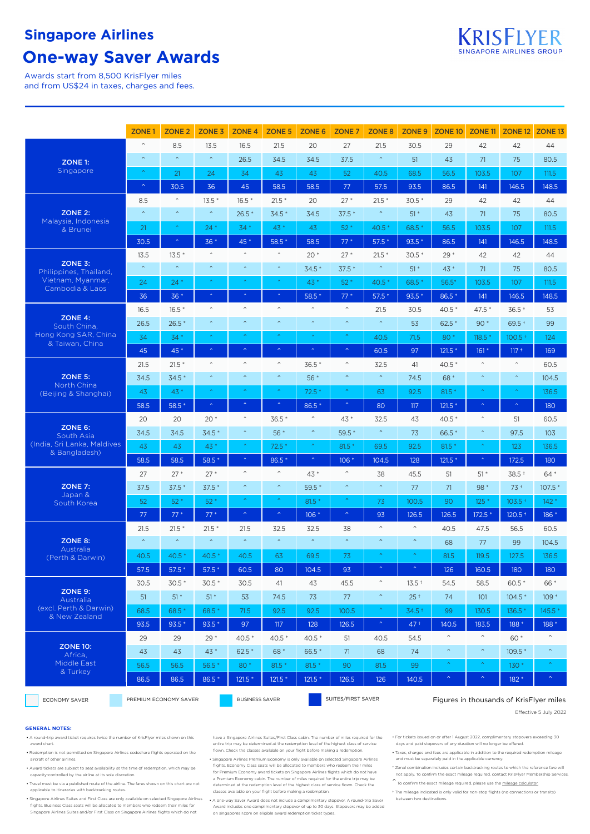## **Singapore Airlines**

## **One-way Saver Awards**

Awards start from 8,500 KrisFlyer miles and from US\$24 in taxes, charges and fees.

|                                              | ZONE <sub>1</sub>       | ZONE <sub>2</sub>      | ZONE <sub>3</sub>       | ZONE <sub>4</sub>       | ZONE <sub>5</sub>       | <b>ZONE 6</b>           | ZONE <sub>7</sub>       | ZONE <sub>8</sub>                      | ZONE <sub>9</sub>       | <b>ZONE 10</b>                          | ZONE <sub>11</sub>    | ZONE <sub>12</sub>      | ZONE <sub>13</sub>          |  |  |
|----------------------------------------------|-------------------------|------------------------|-------------------------|-------------------------|-------------------------|-------------------------|-------------------------|----------------------------------------|-------------------------|-----------------------------------------|-----------------------|-------------------------|-----------------------------|--|--|
|                                              | $\widehat{\phantom{a}}$ | 8.5                    | 13.5                    | 16.5                    | 21.5                    | 20                      | 27                      | 21.5                                   | 30.5                    | 29                                      | 42                    | 42                      | 44                          |  |  |
| ZONE 1:                                      | $\widehat{\phantom{a}}$ | $\bar{\mathbf{v}}$     | $\boldsymbol{\wedge}$   | 26.5                    | 34.5                    | 34.5                    | 37.5                    | $\boldsymbol{\wedge}$                  | 51                      | 43                                      | 71                    | 75                      | 80.5                        |  |  |
| Singapore                                    | $\boldsymbol{\wedge}$   | 21                     | 24                      | 34                      | 43                      | 43                      | 52                      | 40.5                                   | 68.5                    | 56.5                                    | 103.5                 | 107                     | 111.5                       |  |  |
|                                              | $\bar{\mathbb{A}}$      | 30.5                   | 36                      | 45                      | 58.5                    | 58.5                    | 77                      | 57.5                                   | 93.5                    | 86.5                                    | 141                   | 146.5                   | 148.5                       |  |  |
|                                              | 8.5                     | $\hat{\phantom{a}}$    | $13.5*$                 | $16.5*$                 | $21.5*$                 | 20                      | $27*$                   | $21.5*$                                | $30.5*$                 | 29                                      | 42                    | 42                      | 44                          |  |  |
| ZONE 2:                                      | $\boldsymbol{\wedge}$   | $\hat{\phantom{a}}$    | $\boldsymbol{\wedge}$   | $26.5*$                 | $34.5*$                 | 34.5                    | $37.5*$                 | $\boldsymbol{\wedge}$                  | $51*$                   | 43                                      | 71                    | 75                      | 80.5                        |  |  |
| Malaysia, Indonesia<br>& Brunei              | 21                      | $\boldsymbol{\lambda}$ | $24*$                   | 34 *                    | 43 *                    | 43                      | $52*$                   | 40.5 *                                 | 68.5*                   | 56.5                                    | 103.5                 | 107                     | 111.5                       |  |  |
|                                              | 30.5                    | $\bar{\mathbf{v}}$     | $36*$                   | 45 *                    | 58.5 *                  | 58.5                    | $77*$                   | $57.5*$                                | $93.5*$                 | 86.5                                    | 141                   | 146.5                   | 148.5                       |  |  |
|                                              | 13.5                    | $13.5*$                | $\widehat{\phantom{a}}$ | $\widehat{\phantom{a}}$ | $\widehat{\phantom{a}}$ | $20*$                   | $27*$                   | $21.5*$                                | $30.5*$                 | $29*$                                   | 42                    | 42                      | 44                          |  |  |
| ZONE 3:<br>Philippines, Thailand,            | $\bar{\mathbf{A}}$      | $\bar{\mathbf{v}}$     | $\boldsymbol{\wedge}$   | $\bar{\mathbf{A}}$      | $\boldsymbol{\wedge}$   | $34.5*$                 | $37.5*$                 | $\boldsymbol{\wedge}$                  | $51*$                   | $43*$                                   | 71                    | 75                      | 80.5                        |  |  |
| Vietnam, Myanmar,<br>Cambodia & Laos         | 24                      | $24*$                  |                         | x                       |                         | 43 *                    | $52*$                   | 40.5 *                                 | 68.5*                   | $56.5*$                                 | 103.5                 | 107                     | 111.5                       |  |  |
|                                              | 36                      | $36*$                  | $\bar{\mathbf{A}}$      | $\lambda$               | $\bar{\mathbf{v}}$      | 58.5 *                  | $77*$                   | $57.5*$                                | $93.5*$                 | 86.5*                                   | 141                   | 146.5                   | 148.5                       |  |  |
|                                              | 16.5                    | $16.5*$                | $\widehat{\phantom{a}}$ | $\boldsymbol{\wedge}$   | $\boldsymbol{\wedge}$   | $\land$                 | $\land$                 | 21.5                                   | 30.5                    | $40.5*$                                 | 47.5 *                | $36.5 +$                | 53                          |  |  |
| $ZONE$ 4:<br>South China,                    | 26.5                    | $26.5*$                | $\boldsymbol{\wedge}$   | $\bar{\mathbf{A}}$      | $\bar{\mathbf{A}}$      | $\bar{\mathbf{A}}$      | $\bar{\mathbf{A}}$      | $\boldsymbol{\wedge}$                  | 53                      | $62.5*$                                 | $90*$                 | $69.5 +$                | 99                          |  |  |
| Hong Kong SAR, China<br>& Taiwan, China      | 34                      | $34*$                  |                         | ×                       | $\bar{\mathbf{A}}$      |                         | ×                       | 40.5                                   | 71.5                    | 80*                                     | $118.5*$              | $100.5 +$               | 124                         |  |  |
|                                              | 45                      | 45 *                   | $\boldsymbol{\upalpha}$ | $\boldsymbol{\wedge}$   | $\boldsymbol{\upalpha}$ |                         | $\boldsymbol{\wedge}$   | 60.5                                   | 97                      | $121.5*$                                | $161*$                | $117 +$                 | 169                         |  |  |
|                                              | 21.5                    | $21.5*$                | $\boldsymbol{\wedge}$   | $\wedge$                | $\widehat{\phantom{a}}$ | 36.5 *                  | $\widehat{\phantom{a}}$ | 32.5                                   | 41                      | $40.5*$                                 | $\land$               | $\widehat{\phantom{a}}$ | 60.5                        |  |  |
| ZONE 5:<br>North China                       | 34.5                    | $34.5*$                | $\bar{\mathbf{A}}$      | $\boldsymbol{\wedge}$   | $\boldsymbol{\wedge}$   | $56*$                   | $\boldsymbol{\wedge}$   | $\boldsymbol{\wedge}$                  | 74.5                    | 68*                                     | $\bar{\mathbf{A}}$    | $\bar{\mathbf{v}}$      | 104.5                       |  |  |
| (Beijing & Shanghai)                         | 43                      | 43*                    | $\boldsymbol{\wedge}$   | $\bar{\mathbf{A}}$      | $\boldsymbol{\wedge}$   | $72.5*$                 | Ą                       | 63                                     | 92.5                    | $81.5*$                                 | $\hat{\mathbf{A}}$    | $\hat{\mathbf{A}}$      | 136.5                       |  |  |
|                                              | 58.5                    | 58.5 *                 | $\boldsymbol{\kappa}$   | $\bar{\mathbf{A}}$      | $\bar{\mathbf{A}}$      | 86.5 *                  | $\hat{\mathbb{A}}$      | 80                                     | 117                     | $121.5*$                                | $\bar{\mathbf{A}}$    | $\bar{\mathbf{A}}$      | 180                         |  |  |
|                                              | 20                      | 20                     | $20*$                   | $\land$                 | $36.5*$                 | $\widehat{\phantom{a}}$ | 43 *                    | 32.5                                   | 43                      | 40.5 *                                  | $\land$               | 51                      | 60.5                        |  |  |
| ZONE 6:<br>South Asia                        | 34.5                    | 34.5                   | $34.5*$                 | $\boldsymbol{\wedge}$   | $56*$                   | $\boldsymbol{\wedge}$   | 59.5 *                  | $\boldsymbol{\wedge}$                  | 73                      | 66.5*                                   | $\hat{\phantom{a}}$   | 97.5                    | 103                         |  |  |
| (India, Sri Lanka, Maldives<br>& Bangladesh) | 43                      | 43                     | 43 *                    | $\boldsymbol{\kappa}$   | $72.5*$                 | $\boldsymbol{\wedge}$   | $81.5*$                 | 69.5                                   | 92.5                    | $81.5*$                                 | $\boldsymbol{\wedge}$ | 123                     | 136.5                       |  |  |
|                                              | 58.5                    | 58.5                   | 58.5 *                  | $\boldsymbol{\wedge}$   | 86.5 *                  | $\boldsymbol{\wedge}$   | $106*$                  | 104.5                                  | 128                     | $121.5*$                                | $\boldsymbol{\kappa}$ | 172.5                   | 180                         |  |  |
|                                              | 27                      | $27*$                  | $27*$                   | $\land$                 | $\boldsymbol{\wedge}$   | 43 *                    | $\widehat{\phantom{a}}$ | 38                                     | 45.5                    | 51                                      | $51*$                 | 38.5 +                  | 64 *                        |  |  |
| ZONE 7:<br>Japan &                           | 37.5                    | $37.5*$                | $37.5*$                 | $\boldsymbol{\wedge}$   | $\boldsymbol{\wedge}$   | 59.5 *                  | $\boldsymbol{\wedge}$   | $\boldsymbol{\wedge}$                  | 77                      | 71                                      | 98 *                  | $73+$                   | $107.5*$                    |  |  |
| South Korea                                  | 52                      | $52*$                  | $52*$                   | $\bar{\mathbf{A}}$      | $\bar{\mathbf{A}}$      | $81.5*$                 | ×                       | 73                                     | 100.5                   | 90                                      | $125*$                | $103.5 +$               | $142*$                      |  |  |
|                                              | 77                      | $77*$                  | $77*$                   | $\boldsymbol{\wedge}$   | $\hat{\mathcal{N}}$     | $106*$                  | $\boldsymbol{\upalpha}$ | 93                                     | 126.5                   | 126.5                                   | $172.5*$              | $120.5 +$               | 186 *                       |  |  |
|                                              | 21.5                    | $21.5*$                | $21.5*$                 | 21.5                    | 32.5                    | 32.5                    | 38                      | $\widehat{\phantom{a}}$                | $\widehat{\phantom{a}}$ | 40.5                                    | 47.5                  | 56.5                    | 60.5                        |  |  |
| <b>ZONE 8:</b><br>Australia                  | $\bar{\mathbf{v}}$      | $\bar{\mathbf{v}}$     | $\boldsymbol{\wedge}$   | $\bar{\mathbf{A}}$      | $\bar{\mathbf{A}}$      | $\boldsymbol{\wedge}$   | $\bar{\mathbf{A}}$      | $\boldsymbol{\wedge}$                  | $\boldsymbol{\wedge}$   | 68                                      | 77                    | 99                      | 104.5                       |  |  |
| (Perth & Darwin)                             | 40.5                    | $40.5*$                | $40.5*$                 | 40.5                    | 63                      | 69.5                    | 73                      |                                        |                         | 81.5                                    | 119.5                 | 127.5                   | 136.5                       |  |  |
|                                              | 57.5                    | $57.5*$                | $57.5*$                 | 60.5                    | $80\,$                  | 104.5                   | 93                      |                                        |                         | 126                                     | 160.5                 | $180$                   | 180                         |  |  |
|                                              | 30.5                    | $30.5*$                | $30.5*$                 | 30.5                    | 41                      | 43                      | 45.5                    | $\wedge$                               | $13.5 +$                | 54.5                                    | 58.5                  | $60.5*$                 | 66 *                        |  |  |
| ZONE 9:<br>Australia                         | 51                      | $51*$                  | $51*$                   | 53                      | 74.5                    | 73                      | 77                      | $\boldsymbol{\wedge}$                  | $25+$                   | 74                                      | 101                   | $104.5*$                | $109*$                      |  |  |
| (excl. Perth & Darwin)<br>& New Zealand      | 68.5                    | 68.5*                  | 68.5 *                  | 71.5                    | 92.5                    | 92.5                    | 100.5                   | $\boldsymbol{\gamma}$                  | $34.5+$                 | 99                                      | 130.5                 | 136.5 *                 | 145.5 *                     |  |  |
|                                              | 93.5                    | $93.5*$                | $93.5*$                 | 97                      | 117                     | 128                     | 126.5                   | $\left\langle \mathbf{A}\right\rangle$ | $47+$                   | 140.5                                   | 183.5                 | 188 *                   | 188 *                       |  |  |
|                                              | 29                      | 29                     | $29*$                   | $40.5*$                 | $40.5*$                 | $40.5*$                 | 51                      | 40.5                                   | 54.5                    | $\widehat{\phantom{a}}$                 | $\boldsymbol{\wedge}$ | 60 *                    | $\boldsymbol{\wedge}$       |  |  |
| <b>ZONE 10:</b><br>Africa,                   | 43                      | 43                     | $43*$                   | $62.5*$                 | 68 *                    | 66.5*                   | 71                      | 68                                     | 74                      | $\boldsymbol{\wedge}$                   | $\curvearrowright$    | $109.5*$                | $\boldsymbol{\wedge}$       |  |  |
| Middle East<br>& Turkey                      | 56.5                    | 56.5                   | $56.5*$                 | 80 *                    | $81.5*$                 | $81.5*$                 | 90                      | 81.5                                   | 99                      | $\boldsymbol{\wedge}$                   | $\boldsymbol{\wedge}$ | $130*$                  | $\color{blue}\mathtt{\sim}$ |  |  |
|                                              | 86.5                    | 86.5                   | 86.5 *                  | $121.5*$                | $121.5*$                | $121.5*$                | 126.5                   | 126                                    | 140.5                   | $\boldsymbol{\upalpha}$                 | $\boldsymbol{\wedge}$ | 182 *                   | $\boldsymbol{\wedge}$       |  |  |
| ECONOMY SAVER                                | PREMIUM ECONOMY SAVER   |                        |                         | <b>BUSINESS SAVER</b>   |                         |                         | SUITES/FIRST SAVER      |                                        |                         | Figures in thousands of KrisFlyer miles |                       |                         |                             |  |  |

#### **GENERAL NOTES:**

- A round-trip award ticket requires twice the number of KrisFlyer miles shown on this award chart.
- Redemption is not permitted on Singapore Airlines codeshare flights operated on the aircraft of other airlines.
- Award tickets are subject to seat availability at the time of redemption, which may be capacity-controlled by the airline at its sole discretion.
- Travel must be via a published route of the airline. The fares shown on this chart are not applicable to itineraries with backtracking routes.
- Singapore Airlines Suites and First Class are only available on selected Singapore Airlines flights. Business Class seats will be allocated to members who redeem their miles for Singapore Airlines Suites and/or First Class on Singapore Airlines flights which do not

have a Singapore Airlines Suites/First Class cabin. The number of miles required for the entire trip may be determined at the redemption level of the highest class of service flown. Check the classes available on your flight before making a redemption.

• Singapore Airlines Premium Economy is only available on selected Singapore Airlines flights. Economy Class seats will be allocated to members who redeem their miles for Premium Economy award tickets on Singapore Airlines flights which do not have a Premium Economy cabin. The number of miles required for the entire trip may be determined at the redemption level of the highest class of service flown. Check the classes available on your flight before making a redemption.

• A one-way Saver Award does not include a complimentary stopover. A round-trip Saver Award includes one complimentary stopover of up to 30 days. Stopovers may be added on singaporeair.com on eligible award redemption ticket types. Effective 5 July 2022

• For tickets issued on or after 1 August 2022, complimentary stopovers exceeding 30 days and paid stopovers of any duration will no longer be offered.

• Taxes, charges and fees are applicable in addition to the required redemption mileage and must be separately paid in the applicable currency.

- \* Zonal combination includes certain backtracking routes to which the reference fare will not apply. To confirm the exact mileage required, contact KrisFlyer Membership Services.
- $\overbrace{ }$  To confirm the exact mileage required, please use the [mileage calculator.](https://www.singaporeair.com/en_UK/ppsclub-krisflyer/miles/mileage-calculator/?calculator=redeemMiles)
- † The mileage indicated is only valid for non-stop flights (no connections or transits) between two destinations.